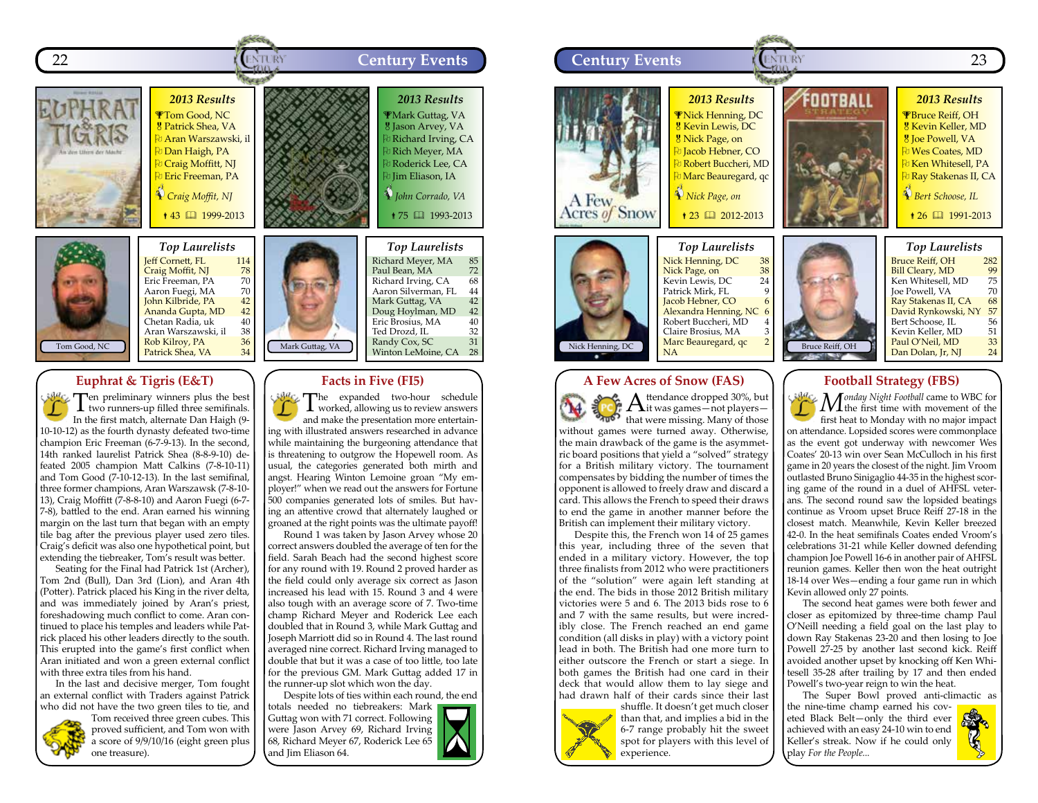



**Jeff Cornett, FL** 114<br> **Craig Moffit, NJ** 78<br>
Eric Freeman, PA 70 Craig Moffit, NJ Eric Freeman, PA 70<br>Aaron Fuegi, MA 70 Aaron Fuegi, MA 70<br>John Kilbride, PA 42 John Kilbride, PA 42<br>Ananda Gupta, MD 42 **Ananda Gupta, MD 42**<br>Chetan Radia, uk 40 20 Chetan Radia, uk dau<br>Aran Warszawski, il da Aran Warszawski, il 38<br>Rob Kilroy, PA 36 Rob Kilroy, PA 36

### **Euphrat & Tigris (E&T)**

Ten preliminary winners plus the best two runners-up filled three semifinals. In the first match, alternate Dan Haigh (9- 10-10-12) as the fourth dynasty defeated two-time champion Eric Freeman (6-7-9-13). In the second, 14th ranked laurelist Patrick Shea (8-8-9-10) defeated 2005 champion Matt Calkins (7-8-10-11) and Tom Good (7-10-12-13). In the last semifinal, three former champions, Aran Warszawsk (7-8-10- 13), Craig Moffitt (7-8-8-10) and Aaron Fuegi (6-7- 7-8), battled to the end. Aran earned his winning margin on the last turn that began with an empty tile bag after the previous player used zero tiles. Craig's deficit was also one hypothetical point, but extending the tiebreaker, Tom's result was better.

Seating for the Final had Patrick 1st (Archer), Tom 2nd (Bull), Dan 3rd (Lion), and Aran 4th (Potter). Patrick placed his King in the river delta, and was immediately joined by Aran's priest, foreshadowing much conflict to come. Aran continued to place his temples and leaders while Patrick placed his other leaders directly to the south. This erupted into the game's first conflict when Aran initiated and won a green external conflict with three extra tiles from his hand.

In the last and decisive merger, Tom fought an external conflict with Traders against Patrick who did not have the two green tiles to tie, and



Tom received three green cubes. This proved sufficient, and Tom won with a score of 9/9/10/16 (eight green plus one treasure).



Mark Guttag, VA Richard Meyer, MA 85 Paul Bean, MA 72<br>Richard Irving, CA 68 Richard Irving, CA 68<br>Aaron Silverman, FL 44 Aaron Silverman, FL 44<br>Mark Guttag, VA 42 Mark Guttag, VA 42<br>Doug Hovlman, MD 42 Doug Hoylman, MD 42<br>Eric Brosius, MA 40 Eric Brosius, MA 40<br>Ted Drozd, IL 32 Ted Drozd, IL 32<br>Randy Cox, SC 31 Randy Cox, SC 31<br>Winton LeMoine, CA 28 Winton LeMoine, CA

#### **Facts in Five (FI5)**

 $\partial^a c_a$ The expanded two-hour schedule worked, allowing us to review answers and make the presentation more entertaining with illustrated answers researched in advance while maintaining the burgeoning attendance that is threatening to outgrow the Hopewell room. As usual, the categories generated both mirth and angst. Hearing Winton Lemoine groan "My employer!" when we read out the answers for Fortune 500 companies generated lots of smiles. But having an attentive crowd that alternately laughed or groaned at the right points was the ultimate payoff!

Round 1 was taken by Jason Arvey whose 20 correct answers doubled the average of ten for the field. Sarah Beach had the second highest score for any round with 19. Round 2 proved harder as the field could only average six correct as Jason increased his lead with 15. Round 3 and 4 were also tough with an average score of 7. Two-time champ Richard Meyer and Roderick Lee each doubled that in Round 3, while Mark Guttag and Joseph Marriott did so in Round 4. The last round averaged nine correct. Richard Irving managed to double that but it was a case of too little, too late for the previous GM. Mark Guttag added 17 in the runner-up slot which won the day.

Despite lots of ties within each round, the end

totals needed no tiebreakers: Mark Guttag won with 71 correct. Following were Jason Arvey 69, Richard Irving 68, Richard Meyer 67, Roderick Lee 65 and Jim Eliason 64.







the main drawback of the game is the asymmetric board positions that yield a "solved" strategy for a British military victory. The tournament compensates by bidding the number of times the opponent is allowed to freely draw and discard a card. This allows the French to speed their draws to end the game in another manner before the British can implement their military victory.

Despite this, the French won 14 of 25 games this year, including three of the seven that ended in a military victory. However, the top three finalists from 2012 who were practitioners of the "solution" were again left standing at the end. The bids in those 2012 British military victories were 5 and 6. The 2013 bids rose to 6 and 7 with the same results, but were incredibly close. The French reached an end game condition (all disks in play) with a victory point lead in both. The British had one more turn to either outscore the French or start a siege. In both games the British had one card in their deck that would allow them to lay siege and had drawn half of their cards since their last



shuffle. It doesn't get much closer than that, and implies a bid in the 6-7 range probably hit the sweet spot for players with this level of experience.

#### **Football Strategy (FBS)**

*Monday Night Football* came to WBC for the first time with movement of the first heat to Monday with no major impact on attendance. Lopsided scores were commonplace as the event got underway with newcomer Wes Coates' 20-13 win over Sean McCulloch in his first game in 20 years the closest of the night. Jim Vroom outlasted Bruno Sinigaglio 44-35 in the highest scoring game of the round in a duel of AHFSL veterans. The second round saw the lopsided beatings continue as Vroom upset Bruce Reiff 27-18 in the closest match. Meanwhile, Kevin Keller breezed 42-0. In the heat semifinals Coates ended Vroom's celebrations 31-21 while Keller downed defending champion Joe Powell 16-6 in another pair of AHFSL reunion games. Keller then won the heat outright 18-14 over Wes—ending a four game run in which Kevin allowed only 27 points.

The second heat games were both fewer and closer as epitomized by three-time champ Paul O'Neill needing a field goal on the last play to down Ray Stakenas 23-20 and then losing to Joe Powell 27-25 by another last second kick. Reiff avoided another upset by knocking off Ken Whitesell 35-28 after trailing by 17 and then ended Powell's two-year reign to win the heat.

The Super Bowl proved anti-climactic as the nine-time champ earned his coveted Black Belt—only the third ever achieved with an easy 24-10 win to end

Keller's streak. Now if he could only

play *For the People...*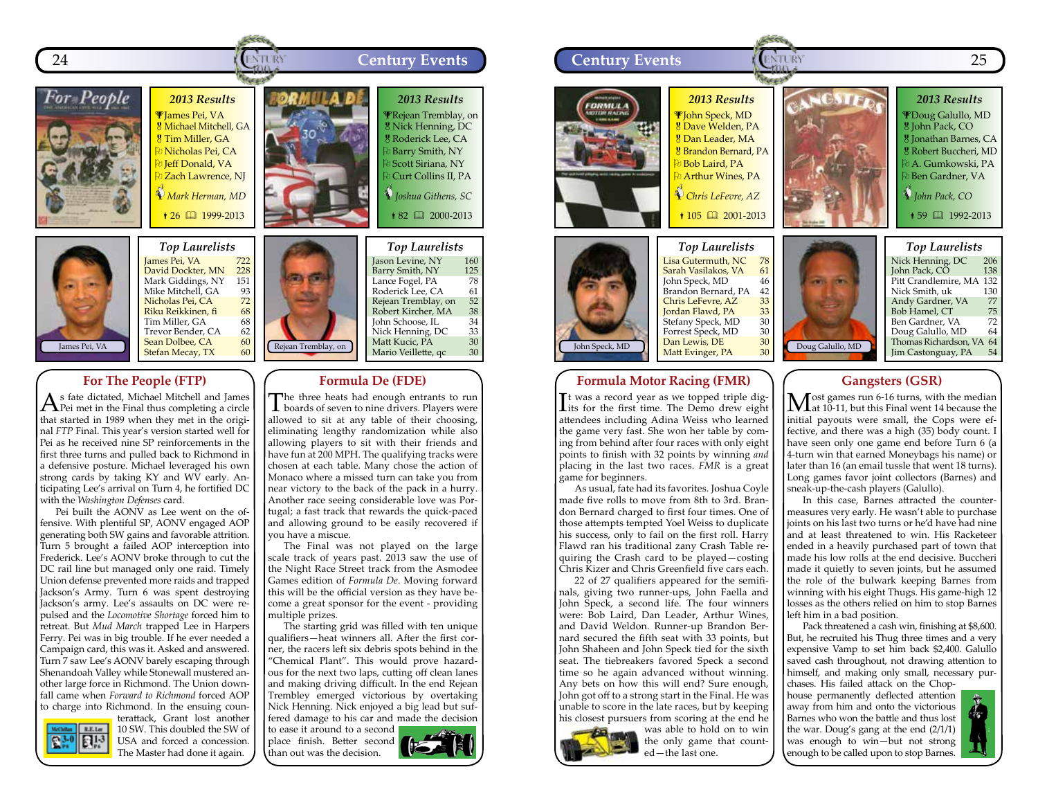



*Top Laurelists* James Pei, VA 722<br>David Dockter, MN 228 )<br>David Dockter, MN 228<br>Mark Giddings. NY 151 Mark Giddings, NY 151<br>Mike Mitchell, GA 93 Mike Mitchell, GA 93<br>Nicholas Pei, CA 72 Nicholas Pei, CA 72<br>Riku Reikkinen, fi 68 Riku Reikkinen, fi<sup>168</sup><br>Tim Miller, GA 68 Tim Miller, GA 68<br>Trevor Bender, CA 62 Trevor Bender, CA 62<br>
Sean Dolbee, CA 60 Sean Dolbee, CA 60<br>Stefan Mecay, TX 60 Stefan Mecay, TX

## **For The People (FTP)**

 $A$ <sup>s</sup> fate dictated, Michael Mitchell and James Pei met in the Final thus completing a circle that started in 1989 when they met in the original *FTP* Final. This year's version started well for Pei as he received nine SP reinforcements in the first three turns and pulled back to Richmond in a defensive posture. Michael leveraged his own strong cards by taking KY and WV early. Anticipating Lee's arrival on Turn 4, he fortified DC with the *Washington Defenses* card.

Pei built the AONV as Lee went on the offensive. With plentiful SP, AONV engaged AOP generating both SW gains and favorable attrition. Turn 5 brought a failed AOP interception into Frederick. Lee's AONV broke through to cut the DC rail line but managed only one raid. Timely Union defense prevented more raids and trapped Jackson's Army. Turn 6 was spent destroying Jackson's army. Lee's assaults on DC were repulsed and the *Locomotive Shortage* forced him to retreat. But *Mud March* trapped Lee in Harpers Ferry. Pei was in big trouble. If he ever needed a Campaign card, this was it. Asked and answered. Turn 7 saw Lee's AONV barely escaping through Shenandoah Valley while Stonewall mustered another large force in Richmond. The Union downfall came when *Forward to Richmond* forced AOP to charge into Richmond. In the ensuing coun-



terattack, Grant lost another 10 SW. This doubled the SW of USA and forced a concession. The Master had done it again.

Rejean Tremblay, on *Top Laurelists* Jason Levine, NY 160<br>Barry Smith, NY 125 Barry Smith, NY 125<br>Lance Fogel, PA 78 Lance Fogel, PA 78<br>Roderick Lee, CA 61 Roderick Lee, CA 61<br>Rejean Tremblay, on 52 Rejean Tremblay, on 52<br>Robert Kircher, MA 38 Robert Kircher, MA 38<br>John Schoose, IL 34 John Schoose, IL<br>Nick Henning, DC 33 Nick Henning, DC 33<br>Matt Kucic, PA 30 Matt Kucic, PA 30 Mario Veillette, qc

#### **Formula De (FDE)**

The three heats had enough entrants to run boards of seven to nine drivers. Players were allowed to sit at any table of their choosing, eliminating lengthy randomization while also allowing players to sit with their friends and have fun at 200 MPH. The qualifying tracks were chosen at each table. Many chose the action of Monaco where a missed turn can take you from near victory to the back of the pack in a hurry. Another race seeing considerable love was Portugal; a fast track that rewards the quick-paced and allowing ground to be easily recovered if you have a miscue.

The Final was not played on the large scale track of years past. 2013 saw the use of the Night Race Street track from the Asmodee Games edition of *Formula De*. Moving forward this will be the official version as they have become a great sponsor for the event - providing multiple prizes.

The starting grid was filled with ten unique qualifiers—heat winners all. After the first corner, the racers left six debris spots behind in the "Chemical Plant". This would prove hazardous for the next two laps, cutting off clean lanes and making driving difficult. In the end Rejean Trembley emerged victorious by overtaking Nick Henning. Nick enjoyed a big lead but suffered damage to his car and made the decision

to ease it around to a second place finish. Better second than out was the decision.





Dan Lewis, DE 30<br>Matt Evinger, PA 30 Matt Evinger, PA

John Speck, MD

It was a record year as we topped triple dig-<br>lits for the first time. The Demo drew eight It was a record year as we topped triple digattendees including Adina Weiss who learned the game very fast. She won her table by coming from behind after four races with only eight points to finish with 32 points by winning *and* placing in the last two races. *FMR* is a great game for beginners.

As usual, fate had its favorites. Joshua Coyle made five rolls to move from 8th to 3rd. Brandon Bernard charged to first four times. One of those attempts tempted Yoel Weiss to duplicate his success, only to fail on the first roll. Harry Flawd ran his traditional zany Crash Table requiring the Crash card to be played—costing Chris Kizer and Chris Greenfield five cars each.

22 of 27 qualifiers appeared for the semifinals, giving two runner-ups, John Faella and John Speck, a second life. The four winners were: Bob Laird, Dan Leader, Arthur Wines, and David Weldon. Runner-up Brandon Bernard secured the fifth seat with 33 points, but John Shaheen and John Speck tied for the sixth seat. The tiebreakers favored Speck a second time so he again advanced without winning. Any bets on how this will end? Sure enough, John got off to a strong start in the Final. He was unable to score in the late races, but by keeping his closest pursuers from scoring at the end he



was able to hold on to win the only game that counted—the last one.

#### **Gangsters (GSR)**

Doug Galullo, MD

Thomas Richardson, VA 64<br>Iim Castonguay, PA 54 Jim Castonguay, PA

Most games run 6-16 turns, with the median<br>
at 10-11, but this Final went 14 because the initial payouts were small, the Cops were effective, and there was a high (35) body count. I have seen only one game end before Turn 6 (a 4-turn win that earned Moneybags his name) or later than 16 (an email tussle that went 18 turns). Long games favor joint collectors (Barnes) and sneak-up-the-cash players (Galullo).

In this case, Barnes attracted the countermeasures very early. He wasn't able to purchase joints on his last two turns or he'd have had nine and at least threatened to win. His Racketeer ended in a heavily purchased part of town that made his low rolls at the end decisive. Buccheri made it quietly to seven joints, but he assumed the role of the bulwark keeping Barnes from winning with his eight Thugs. His game-high 12 losses as the others relied on him to stop Barnes left him in a bad position.

Pack threatened a cash win, finishing at \$8,600. But, he recruited his Thug three times and a very expensive Vamp to set him back \$2,400. Galullo saved cash throughout, not drawing attention to himself, and making only small, necessary pur-

chases. His failed attack on the Chophouse permanently deflected attention away from him and onto the victorious Barnes who won the battle and thus lost the war. Doug's gang at the end (2/1/1) was enough to win—but not strong enough to be called upon to stop Barnes.

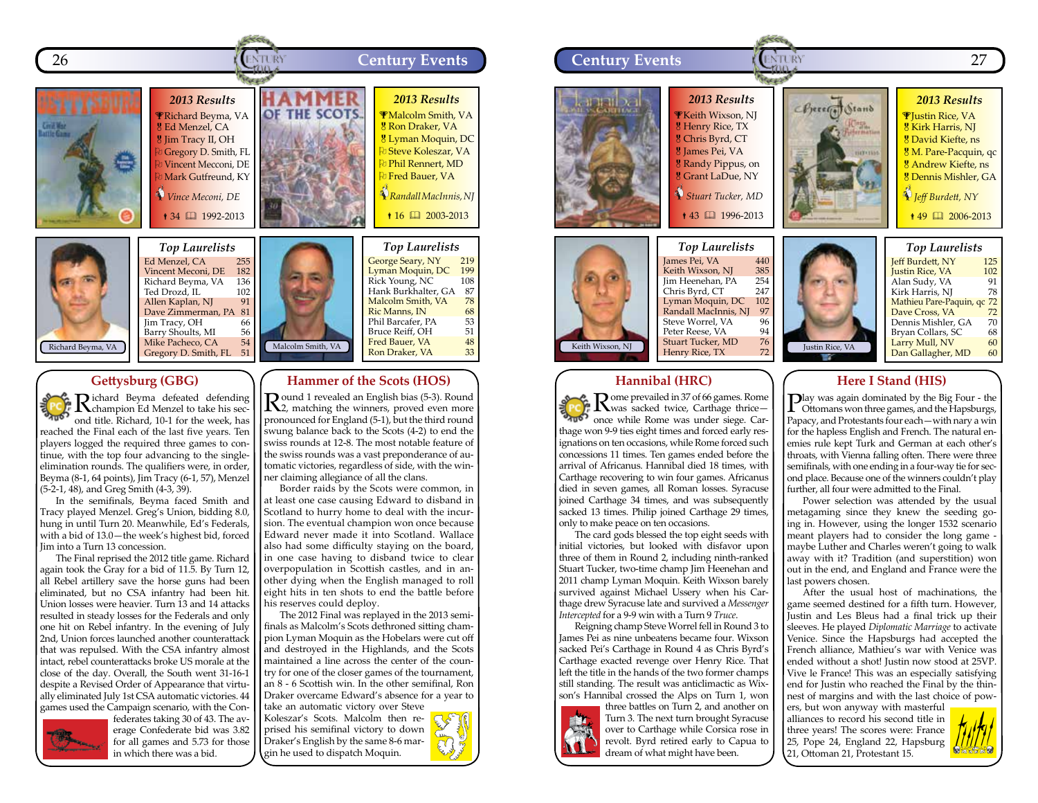



#### Malcolm Smith, VA *Top Laurelists* Ed Menzel, CA 255<br>Vincent Meconi, DE 182 Vincent Meconi, DE 182<br>Richard Beyma, VA 136 Richard Beyma, VA 136<br>Ted Drozd. IL 102 Ted Drozd, IL 102<br>Allen Kaplan, NI 91 Allen Kaplan, NJ 91 Dave Zimmerman, PA 81 Jim Tracy, OH 66<br>Barry Shoults, MI 56 ender Shoults, MI 56<br>25 Mike Pacheco, CA 54 Mike Pacheco, CA 54<br>Gregory D. Smith. FL 51 Gregory D. Smith, FL

## **Gettysburg (GBG)**

Richard Beyma defeated defending champion Ed Menzel to take his second title. Richard, 10-1 for the week, has reached the Final each of the last five years. Ten players logged the required three games to continue, with the top four advancing to the singleelimination rounds. The qualifiers were, in order, Beyma (8-1, 64 points), Jim Tracy (6-1, 57), Menzel (5-2-1, 48), and Greg Smith (4-3, 39).

In the semifinals, Beyma faced Smith and Tracy played Menzel. Greg's Union, bidding 8.0, hung in until Turn 20. Meanwhile, Ed's Federals, with a bid of 13.0—the week's highest bid, forced Jim into a Turn 13 concession.

The Final reprised the 2012 title game. Richard again took the Gray for a bid of 11.5. By Turn 12, all Rebel artillery save the horse guns had been eliminated, but no CSA infantry had been hit. Union losses were heavier. Turn 13 and 14 attacks resulted in steady losses for the Federals and only one hit on Rebel infantry. In the evening of July 2nd, Union forces launched another counterattack that was repulsed. With the CSA infantry almost intact, rebel counterattacks broke US morale at the close of the day. Overall, the South went 31-16-1 despite a Revised Order of Appearance that virtually eliminated July 1st CSA automatic victories. 44 games used the Campaign scenario, with the Con-



federates taking 30 of 43. The average Confederate bid was 3.82 for all games and 5.73 for those in which there was a bid.

Koleszar's Scots. Malcolm then reprised his semifinal victory to down Draker's English by the same 8-6 margin he used to dispatch Moquin.



**Hammer of the Scots (HOS)** Round 1 revealed an English bias (5-3). Round 2, matching the winners, proved even more pronounced for England (5-1), but the third round swung balance back to the Scots (4-2) to end the swiss rounds at 12-8. The most notable feature of the swiss rounds was a vast preponderance of automatic victories, regardless of side, with the winner claiming allegiance of all the clans.

George Seary, NY 219 Lyman Moquin, DC 199<br>Rick Young, NC 108 Rick Young, NC Hank Burkhalter, GA 87<br>Malcolm Smith, VA 78 Malcolm Smith, VA 78<br>Ric Manns, IN 68 Ric Manns, IN 68<br>Phil Barcafer. PA 53 Phil Barcafer, PA 53<br>Bruce Reiff, OH 51 Bruce Reiff, OH 51<br>Fred Bauer. VA 58 Fred Bauer, VA  $\frac{48}{13}$ Ron Draker, VA

Border raids by the Scots were common, in at least one case causing Edward to disband in Scotland to hurry home to deal with the incursion. The eventual champion won once because Edward never made it into Scotland. Wallace also had some difficulty staying on the board, in one case having to disband twice to clear overpopulation in Scottish castles, and in another dying when the English managed to roll eight hits in ten shots to end the battle before

The 2012 Final was replayed in the 2013 semifinals as Malcolm's Scots dethroned sitting champion Lyman Moquin as the Hobelars were cut off and destroyed in the Highlands, and the Scots maintained a line across the center of the country for one of the closer games of the tournament, an 8 - 6 Scottish win. In the other semifinal, Ron Draker overcame Edward's absence for a year to

his reserves could deploy.



## **Hannibal (HRC)**

Rome prevailed in 37 of 66 games. Rome once while Rome was under siege. Car- $\sum_{n=1}^{\infty} \mathbf{R}^{\text{ome prevalied in 37 of 66 games. Rome}}$ thage won 9-9 ties eight times and forced early resignations on ten occasions, while Rome forced such concessions 11 times. Ten games ended before the arrival of Africanus. Hannibal died 18 times, with Carthage recovering to win four games. Africanus died in seven games, all Roman losses. Syracuse joined Carthage 34 times, and was subsequently sacked 13 times. Philip joined Carthage 29 times, only to make peace on ten occasions.

The card gods blessed the top eight seeds with initial victories, but looked with disfavor upon three of them in Round 2, including ninth-ranked Stuart Tucker, two-time champ Jim Heenehan and 2011 champ Lyman Moquin. Keith Wixson barely survived against Michael Ussery when his Carthage drew Syracuse late and survived a *Messenger Intercepted* for a 9-9 win with a Turn 9 *Truce*.

Reigning champ Steve Worrel fell in Round 3 to James Pei as nine unbeatens became four. Wixson sacked Pei's Carthage in Round 4 as Chris Byrd's Carthage exacted revenge over Henry Rice. That left the title in the hands of the two former champs still standing. The result was anticlimactic as Wixson's Hannibal crossed the Alps on Turn 1, won



three battles on Turn 2, and another on Turn 3. The next turn brought Syracuse over to Carthage while Corsica rose in revolt. Byrd retired early to Capua to dream of what might have been.

## **Here I Stand (HIS)**

Play was again dominated by the Big Four - the Ottomans won three games, and the Hapsburgs, Papacy, and Protestants four each—with nary a win for the hapless English and French. The natural enemies rule kept Turk and German at each other's throats, with Vienna falling often. There were three semifinals, with one ending in a four-way tie for second place. Because one of the winners couldn't play further, all four were admitted to the Final.

Power selection was attended by the usual metagaming since they knew the seeding going in. However, using the longer 1532 scenario meant players had to consider the long game maybe Luther and Charles weren't going to walk away with it? Tradition (and superstition) won out in the end, and England and France were the last powers chosen.

After the usual host of machinations, the game seemed destined for a fifth turn. However, Justin and Les Bleus had a final trick up their sleeves. He played *Diplomatic Marriage* to activate Venice. Since the Hapsburgs had accepted the French alliance, Mathieu's war with Venice was ended without a shot! Justin now stood at 25VP. Vive le France! This was an especially satisfying end for Justin who reached the Final by the thinnest of margins and with the last choice of pow-

ers, but won anyway with masterful alliances to record his second title in three years! The scores were: France 25, Pope 24, England 22, Hapsburg 21, Ottoman 21, Protestant 15.

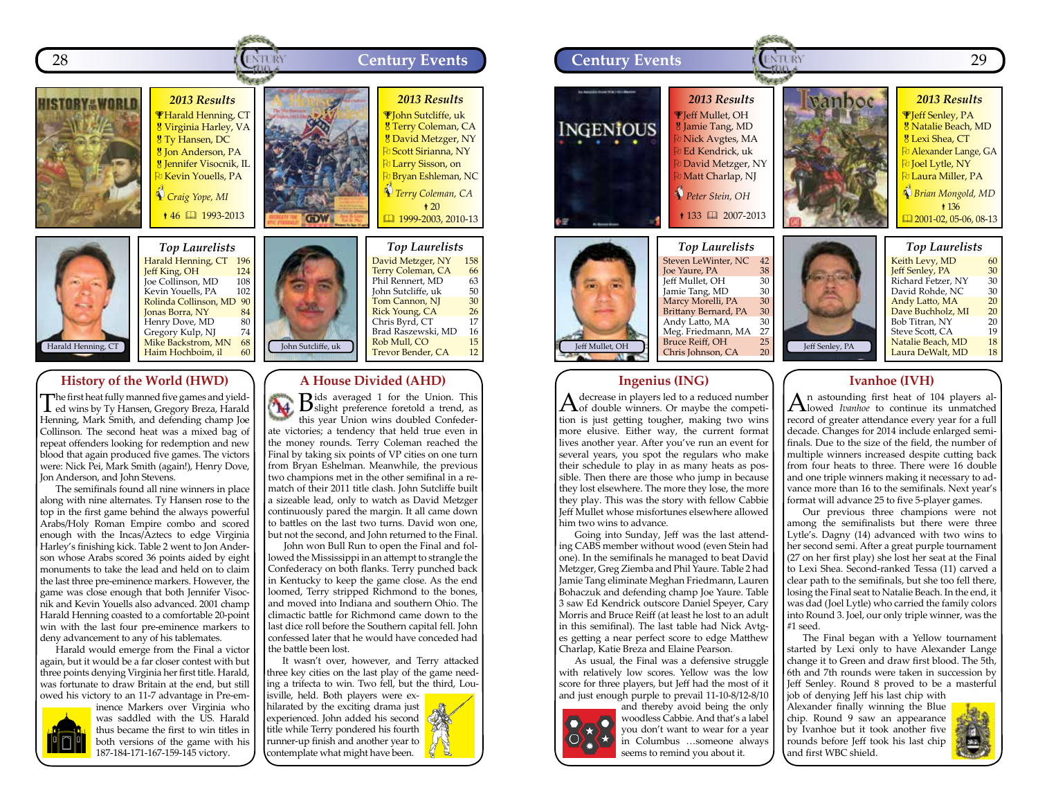



#### *Top Laurelists* Harald Henning, CT 196<br>Jeff King, OH 124 **Jeff King, OH** 124<br>Joe Collinson, MD 108 Joe Collinson, MD 108<br>Kevin Youells. PA 102 Kevin Youells, PA Rolinda Collinson, MD 90<br>Ionas Borra, NY 84 Jonas Borra, NY 84<br>Henry Dove, MD 80 Henry Dove, MD 80<br>Gregory Kulp, NI 74 Gregory Kulp, NJ 74<br>Mike Backstrom, MN 68 Mike Backstrom, MN 68<br>Haim Hochboim, il 60 Haim Hochboim, il

## **History of the World (HWD)**

The first heat fully manned five games and yield-ed wins by Ty Hansen, Gregory Breza, Harald Henning, Mark Smith, and defending champ Joe Collinson. The second heat was a mixed bag of repeat offenders looking for redemption and new blood that again produced five games. The victors were: Nick Pei, Mark Smith (again!), Henry Dove, Jon Anderson, and John Stevens.

The semifinals found all nine winners in place along with nine alternates. Ty Hansen rose to the top in the first game behind the always powerful Arabs/Holy Roman Empire combo and scored enough with the Incas/Aztecs to edge Virginia Harley's finishing kick. Table 2 went to Jon Anderson whose Arabs scored 36 points aided by eight monuments to take the lead and held on to claim the last three pre-eminence markers. However, the game was close enough that both Jennifer Visocnik and Kevin Youells also advanced. 2001 champ Harald Henning coasted to a comfortable 20-point win with the last four pre-eminence markers to deny advancement to any of his tablemates.

Harald would emerge from the Final a victor again, but it would be a far closer contest with but three points denying Virginia her first title. Harald, was fortunate to draw Britain at the end, but still owed his victory to an 11-7 advantage in Pre-em-



inence Markers over Virginia who was saddled with the US. Harald thus became the first to win titles in both versions of the game with his 187-184-171-167-159-145 victory.



#### **A House Divided (AHD)**

V **B**ids averaged 1 for the Union. This slight preference foretold a trend, as this year Union wins doubled Confederate victories; a tendency that held true even in the money rounds. Terry Coleman reached the Final by taking six points of VP cities on one turn from Bryan Eshelman. Meanwhile, the previous two champions met in the other semifinal in a rematch of their 2011 title clash. John Sutcliffe built a sizeable lead, only to watch as David Metzger continuously pared the margin. It all came down to battles on the last two turns. David won one, but not the second, and John returned to the Final.

John won Bull Run to open the Final and followed the Mississippi in an attempt to strangle the Confederacy on both flanks. Terry punched back in Kentucky to keep the game close. As the end loomed, Terry stripped Richmond to the bones, and moved into Indiana and southern Ohio. The climactic battle for Richmond came down to the last dice roll before the Southern capital fell. John confessed later that he would have conceded had the battle been lost.

It wasn't over, however, and Terry attacked three key cities on the last play of the game needing a trifecta to win. Two fell, but the third, Louisville, held. Both players were ex-

hilarated by the exciting drama just experienced. John added his second title while Terry pondered his fourth runner-up finish and another year to contemplate what might have been.



#### **Ingenius (ING)**

 $A$  decrease in players led to a reduced number<br>of double winners. Or maybe the competition is just getting tougher, making two wins more elusive. Either way, the current format lives another year. After you've run an event for several years, you spot the regulars who make their schedule to play in as many heats as possible. Then there are those who jump in because they lost elsewhere. The more they lose, the more they play. This was the story with fellow Cabbie Jeff Mullet whose misfortunes elsewhere allowed him two wins to advance.

Going into Sunday, Jeff was the last attending CABS member without wood (even Stein had one). In the semifinals he managed to beat David Metzger, Greg Ziemba and Phil Yaure. Table 2 had Jamie Tang eliminate Meghan Friedmann, Lauren Bohaczuk and defending champ Joe Yaure. Table 3 saw Ed Kendrick outscore Daniel Speyer, Cary Morris and Bruce Reiff (at least he lost to an adult in this semifinal). The last table had Nick Avtges getting a near perfect score to edge Matthew Charlap, Katie Breza and Elaine Pearson.

As usual, the Final was a defensive struggle with relatively low scores. Yellow was the low score for three players, but Jeff had the most of it and just enough purple to prevail 11-10-8/12-8/10



and thereby avoid being the only woodless Cabbie. And that's a label you don't want to wear for a year in Columbus …someone always seems to remind you about it.

### **Ivanhoe (IVH)**

An astounding first heat of 104 players al-lowed *Ivanhoe* to continue its unmatched record of greater attendance every year for a full decade. Changes for 2014 include enlarged semifinals. Due to the size of the field, the number of multiple winners increased despite cutting back from four heats to three. There were 16 double and one triple winners making it necessary to advance more than 16 to the semifinals. Next year's format will advance 25 to five 5-player games.

Our previous three champions were not among the semifinalists but there were three Lytle's. Dagny (14) advanced with two wins to her second semi. After a great purple tournament (27 on her first play) she lost her seat at the Final to Lexi Shea. Second-ranked Tessa (11) carved a clear path to the semifinals, but she too fell there, losing the Final seat to Natalie Beach. In the end, it was dad (Joel Lytle) who carried the family colors into Round 3. Joel, our only triple winner, was the #1 seed.

The Final began with a Yellow tournament started by Lexi only to have Alexander Lange change it to Green and draw first blood. The 5th, 6th and 7th rounds were taken in succession by Jeff Senley. Round 8 proved to be a masterful job of denying Jeff his last chip with

Alexander finally winning the Blue chip. Round 9 saw an appearance by Ivanhoe but it took another five rounds before Jeff took his last chip and first WBC shield.